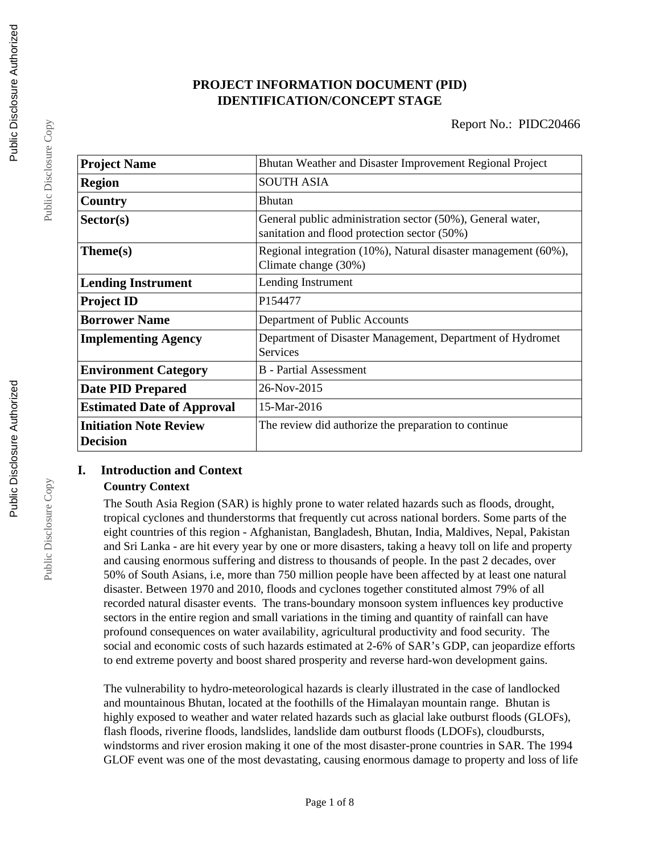# **PROJECT INFORMATION DOCUMENT (PID) IDENTIFICATION/CONCEPT STAGE**

| <b>Project Name</b>                              | Bhutan Weather and Disaster Improvement Regional Project                                                   |  |  |
|--------------------------------------------------|------------------------------------------------------------------------------------------------------------|--|--|
| Region                                           | <b>SOUTH ASIA</b>                                                                                          |  |  |
| Country                                          | <b>Bhutan</b>                                                                                              |  |  |
| Sector(s)                                        | General public administration sector (50%), General water,<br>sanitation and flood protection sector (50%) |  |  |
| Theme(s)                                         | Regional integration (10%), Natural disaster management (60%),<br>Climate change (30%)                     |  |  |
| <b>Lending Instrument</b>                        | Lending Instrument                                                                                         |  |  |
| <b>Project ID</b>                                | P154477                                                                                                    |  |  |
| <b>Borrower Name</b>                             | Department of Public Accounts                                                                              |  |  |
| <b>Implementing Agency</b>                       | Department of Disaster Management, Department of Hydromet<br>Services                                      |  |  |
| <b>Environment Category</b>                      | <b>B</b> - Partial Assessment                                                                              |  |  |
| <b>Date PID Prepared</b>                         | 26-Nov-2015                                                                                                |  |  |
| <b>Estimated Date of Approval</b>                | 15-Mar-2016                                                                                                |  |  |
| <b>Initiation Note Review</b><br><b>Decision</b> | The review did authorize the preparation to continue                                                       |  |  |

# **I. Introduction and Context Country Context**

The South Asia Region (SAR) is highly prone to water related hazards such as floods, drought, tropical cyclones and thunderstorms that frequently cut across national borders. Some parts of the eight countries of this region - Afghanistan, Bangladesh, Bhutan, India, Maldives, Nepal, Pakistan and Sri Lanka - are hit every year by one or more disasters, taking a heavy toll on life and property and causing enormous suffering and distress to thousands of people. In the past 2 decades, over 50% of South Asians, i.e, more than 750 million people have been affected by at least one natural disaster. Between 1970 and 2010, floods and cyclones together constituted almost 79% of all recorded natural disaster events. The trans-boundary monsoon system influences key productive sectors in the entire region and small variations in the timing and quantity of rainfall can have profound consequences on water availability, agricultural productivity and food security. The social and economic costs of such hazards estimated at 2-6% of SAR's GDP, can jeopardize efforts to end extreme poverty and boost shared prosperity and reverse hard-won development gains.

The vulnerability to hydro-meteorological hazards is clearly illustrated in the case of landlocked and mountainous Bhutan, located at the foothills of the Himalayan mountain range. Bhutan is highly exposed to weather and water related hazards such as glacial lake outburst floods (GLOFs), flash floods, riverine floods, landslides, landslide dam outburst floods (LDOFs), cloudbursts, windstorms and river erosion making it one of the most disaster-prone countries in SAR. The 1994 GLOF event was one of the most devastating, causing enormous damage to property and loss of life

Public Disclosure Copy

Public Disclosure Copy

Public Disclosure Copy

Public Disclosure Copy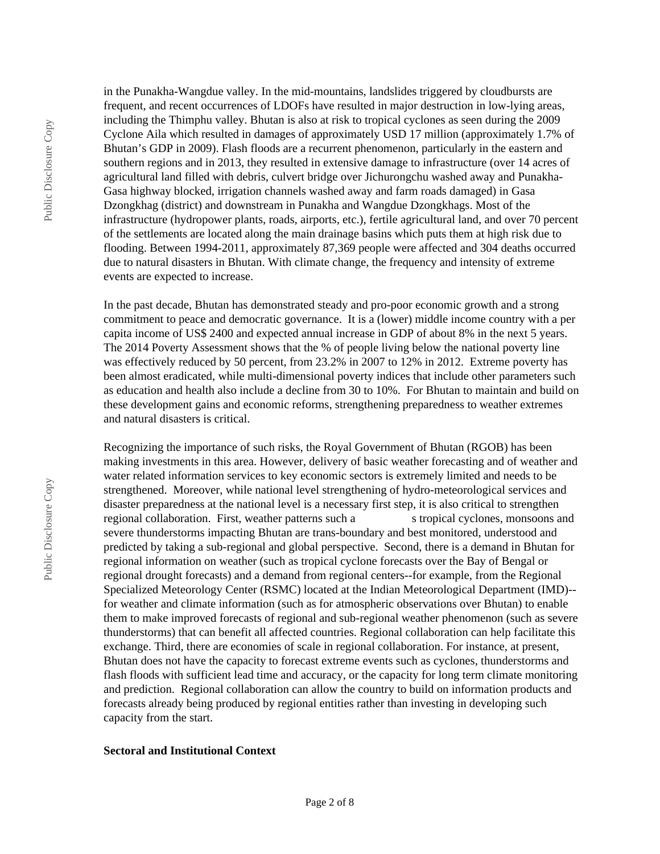in the Punakha-Wangdue valley. In the mid-mountains, landslides triggered by cloudbursts are frequent, and recent occurrences of LDOFs have resulted in major destruction in low-lying areas, including the Thimphu valley. Bhutan is also at risk to tropical cyclones as seen during the 2009 Cyclone Aila which resulted in damages of approximately USD 17 million (approximately 1.7% of Bhutan's GDP in 2009). Flash floods are a recurrent phenomenon, particularly in the eastern and southern regions and in 2013, they resulted in extensive damage to infrastructure (over 14 acres of agricultural land filled with debris, culvert bridge over Jichurongchu washed away and Punakha-Gasa highway blocked, irrigation channels washed away and farm roads damaged) in Gasa Dzongkhag (district) and downstream in Punakha and Wangdue Dzongkhags. Most of the infrastructure (hydropower plants, roads, airports, etc.), fertile agricultural land, and over 70 percent of the settlements are located along the main drainage basins which puts them at high risk due to flooding. Between 1994-2011, approximately 87,369 people were affected and 304 deaths occurred due to natural disasters in Bhutan. With climate change, the frequency and intensity of extreme events are expected to increase.

In the past decade, Bhutan has demonstrated steady and pro-poor economic growth and a strong commitment to peace and democratic governance. It is a (lower) middle income country with a per capita income of US\$ 2400 and expected annual increase in GDP of about 8% in the next 5 years. The 2014 Poverty Assessment shows that the % of people living below the national poverty line was effectively reduced by 50 percent, from 23.2% in 2007 to 12% in 2012. Extreme poverty has been almost eradicated, while multi-dimensional poverty indices that include other parameters such as education and health also include a decline from 30 to 10%. For Bhutan to maintain and build on these development gains and economic reforms, strengthening preparedness to weather extremes and natural disasters is critical.

Recognizing the importance of such risks, the Royal Government of Bhutan (RGOB) has been making investments in this area. However, delivery of basic weather forecasting and of weather and water related information services to key economic sectors is extremely limited and needs to be strengthened. Moreover, while national level strengthening of hydro-meteorological services and disaster preparedness at the national level is a necessary first step, it is also critical to strengthen regional collaboration. First, weather patterns such a stropical cyclones, monsoons and severe thunderstorms impacting Bhutan are trans-boundary and best monitored, understood and predicted by taking a sub-regional and global perspective. Second, there is a demand in Bhutan for regional information on weather (such as tropical cyclone forecasts over the Bay of Bengal or regional drought forecasts) and a demand from regional centers--for example, from the Regional Specialized Meteorology Center (RSMC) located at the Indian Meteorological Department (IMD)- for weather and climate information (such as for atmospheric observations over Bhutan) to enable them to make improved forecasts of regional and sub-regional weather phenomenon (such as severe thunderstorms) that can benefit all affected countries. Regional collaboration can help facilitate this exchange. Third, there are economies of scale in regional collaboration. For instance, at present, Bhutan does not have the capacity to forecast extreme events such as cyclones, thunderstorms and flash floods with sufficient lead time and accuracy, or the capacity for long term climate monitoring and prediction. Regional collaboration can allow the country to build on information products and forecasts already being produced by regional entities rather than investing in developing such capacity from the start.

#### **Sectoral and Institutional Context**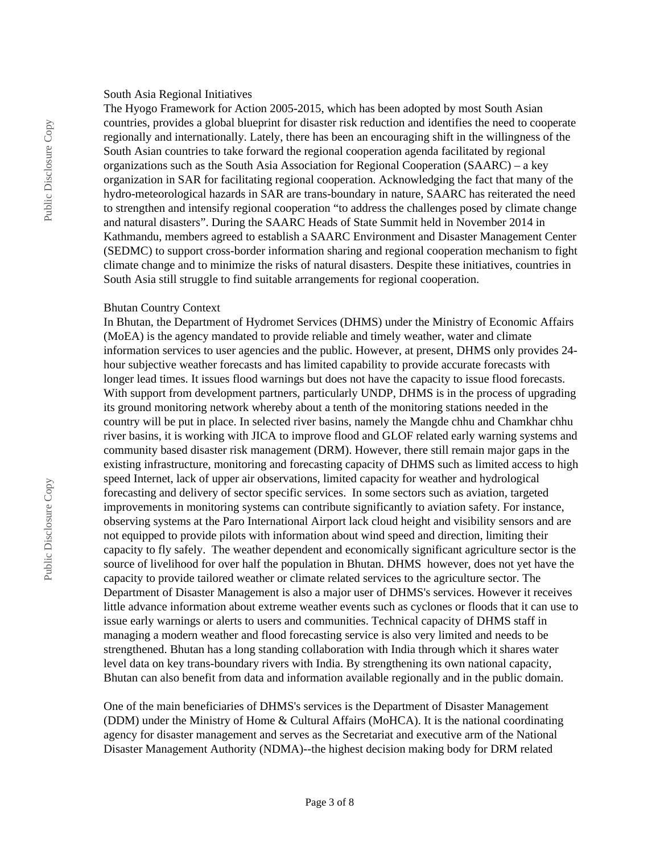#### South Asia Regional Initiatives

The Hyogo Framework for Action 2005-2015, which has been adopted by most South Asian countries, provides a global blueprint for disaster risk reduction and identifies the need to cooperate regionally and internationally. Lately, there has been an encouraging shift in the willingness of the South Asian countries to take forward the regional cooperation agenda facilitated by regional organizations such as the South Asia Association for Regional Cooperation (SAARC) – a key organization in SAR for facilitating regional cooperation. Acknowledging the fact that many of the hydro-meteorological hazards in SAR are trans-boundary in nature, SAARC has reiterated the need to strengthen and intensify regional cooperation "to address the challenges posed by climate change and natural disasters". During the SAARC Heads of State Summit held in November 2014 in Kathmandu, members agreed to establish a SAARC Environment and Disaster Management Center (SEDMC) to support cross-border information sharing and regional cooperation mechanism to fight climate change and to minimize the risks of natural disasters. Despite these initiatives, countries in South Asia still struggle to find suitable arrangements for regional cooperation.

#### Bhutan Country Context

In Bhutan, the Department of Hydromet Services (DHMS) under the Ministry of Economic Affairs (MoEA) is the agency mandated to provide reliable and timely weather, water and climate information services to user agencies and the public. However, at present, DHMS only provides 24 hour subjective weather forecasts and has limited capability to provide accurate forecasts with longer lead times. It issues flood warnings but does not have the capacity to issue flood forecasts. With support from development partners, particularly UNDP, DHMS is in the process of upgrading its ground monitoring network whereby about a tenth of the monitoring stations needed in the country will be put in place. In selected river basins, namely the Mangde chhu and Chamkhar chhu river basins, it is working with JICA to improve flood and GLOF related early warning systems and community based disaster risk management (DRM). However, there still remain major gaps in the existing infrastructure, monitoring and forecasting capacity of DHMS such as limited access to high speed Internet, lack of upper air observations, limited capacity for weather and hydrological forecasting and delivery of sector specific services. In some sectors such as aviation, targeted improvements in monitoring systems can contribute significantly to aviation safety. For instance, observing systems at the Paro International Airport lack cloud height and visibility sensors and are not equipped to provide pilots with information about wind speed and direction, limiting their capacity to fly safely. The weather dependent and economically significant agriculture sector is the source of livelihood for over half the population in Bhutan. DHMS however, does not yet have the capacity to provide tailored weather or climate related services to the agriculture sector. The Department of Disaster Management is also a major user of DHMS's services. However it receives little advance information about extreme weather events such as cyclones or floods that it can use to issue early warnings or alerts to users and communities. Technical capacity of DHMS staff in managing a modern weather and flood forecasting service is also very limited and needs to be strengthened. Bhutan has a long standing collaboration with India through which it shares water level data on key trans-boundary rivers with India. By strengthening its own national capacity, Bhutan can also benefit from data and information available regionally and in the public domain.

One of the main beneficiaries of DHMS's services is the Department of Disaster Management (DDM) under the Ministry of Home & Cultural Affairs (MoHCA). It is the national coordinating agency for disaster management and serves as the Secretariat and executive arm of the National Disaster Management Authority (NDMA)--the highest decision making body for DRM related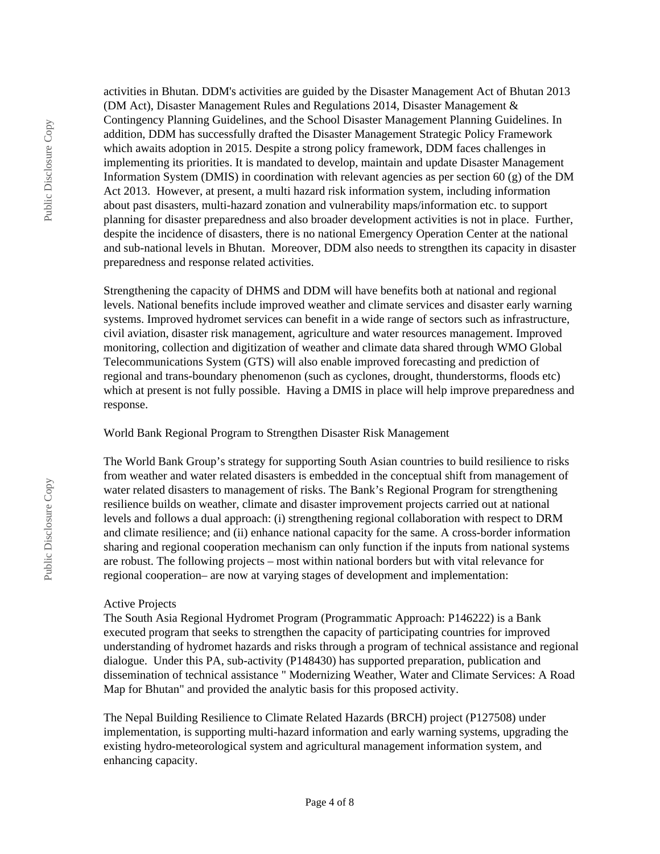activities in Bhutan. DDM's activities are guided by the Disaster Management Act of Bhutan 2013 (DM Act), Disaster Management Rules and Regulations 2014, Disaster Management & Contingency Planning Guidelines, and the School Disaster Management Planning Guidelines. In addition, DDM has successfully drafted the Disaster Management Strategic Policy Framework which awaits adoption in 2015. Despite a strong policy framework, DDM faces challenges in implementing its priorities. It is mandated to develop, maintain and update Disaster Management Information System (DMIS) in coordination with relevant agencies as per section 60 (g) of the DM Act 2013. However, at present, a multi hazard risk information system, including information about past disasters, multi-hazard zonation and vulnerability maps/information etc. to support planning for disaster preparedness and also broader development activities is not in place. Further, despite the incidence of disasters, there is no national Emergency Operation Center at the national and sub-national levels in Bhutan. Moreover, DDM also needs to strengthen its capacity in disaster preparedness and response related activities.

Strengthening the capacity of DHMS and DDM will have benefits both at national and regional levels. National benefits include improved weather and climate services and disaster early warning systems. Improved hydromet services can benefit in a wide range of sectors such as infrastructure, civil aviation, disaster risk management, agriculture and water resources management. Improved monitoring, collection and digitization of weather and climate data shared through WMO Global Telecommunications System (GTS) will also enable improved forecasting and prediction of regional and trans-boundary phenomenon (such as cyclones, drought, thunderstorms, floods etc) which at present is not fully possible. Having a DMIS in place will help improve preparedness and response.

World Bank Regional Program to Strengthen Disaster Risk Management

The World Bank Group's strategy for supporting South Asian countries to build resilience to risks from weather and water related disasters is embedded in the conceptual shift from management of water related disasters to management of risks. The Bank's Regional Program for strengthening resilience builds on weather, climate and disaster improvement projects carried out at national levels and follows a dual approach: (i) strengthening regional collaboration with respect to DRM and climate resilience; and (ii) enhance national capacity for the same. A cross-border information sharing and regional cooperation mechanism can only function if the inputs from national systems are robust. The following projects – most within national borders but with vital relevance for regional cooperation– are now at varying stages of development and implementation:

### Active Projects

The South Asia Regional Hydromet Program (Programmatic Approach: P146222) is a Bank executed program that seeks to strengthen the capacity of participating countries for improved understanding of hydromet hazards and risks through a program of technical assistance and regional dialogue. Under this PA, sub-activity (P148430) has supported preparation, publication and dissemination of technical assistance " Modernizing Weather, Water and Climate Services: A Road Map for Bhutan" and provided the analytic basis for this proposed activity.

The Nepal Building Resilience to Climate Related Hazards (BRCH) project (P127508) under implementation, is supporting multi-hazard information and early warning systems, upgrading the existing hydro-meteorological system and agricultural management information system, and enhancing capacity.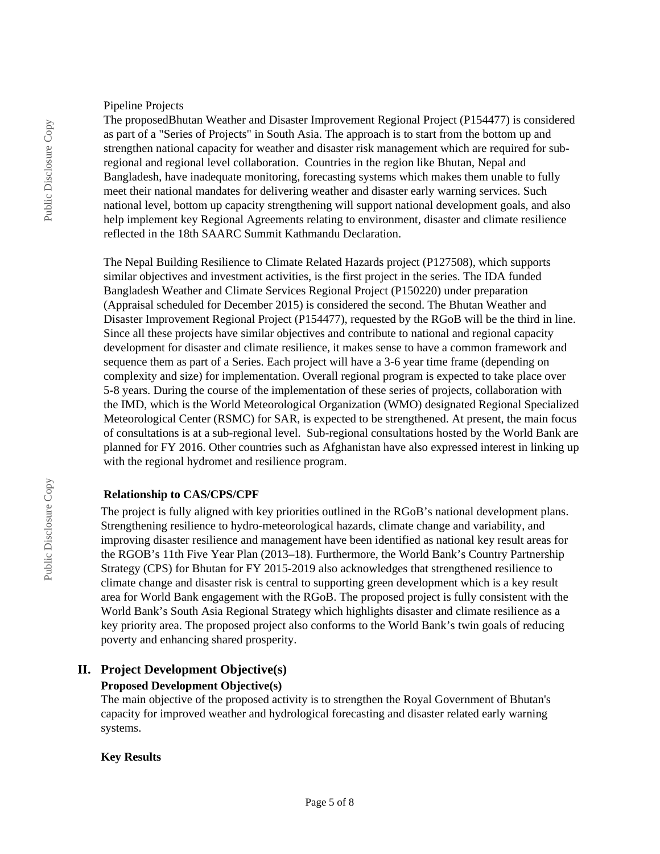#### Pipeline Projects

The proposedBhutan Weather and Disaster Improvement Regional Project (P154477) is considered as part of a "Series of Projects" in South Asia. The approach is to start from the bottom up and strengthen national capacity for weather and disaster risk management which are required for subregional and regional level collaboration. Countries in the region like Bhutan, Nepal and Bangladesh, have inadequate monitoring, forecasting systems which makes them unable to fully meet their national mandates for delivering weather and disaster early warning services. Such national level, bottom up capacity strengthening will support national development goals, and also help implement key Regional Agreements relating to environment, disaster and climate resilience reflected in the 18th SAARC Summit Kathmandu Declaration.

The Nepal Building Resilience to Climate Related Hazards project (P127508), which supports similar objectives and investment activities, is the first project in the series. The IDA funded Bangladesh Weather and Climate Services Regional Project (P150220) under preparation (Appraisal scheduled for December 2015) is considered the second. The Bhutan Weather and Disaster Improvement Regional Project (P154477), requested by the RGoB will be the third in line. Since all these projects have similar objectives and contribute to national and regional capacity development for disaster and climate resilience, it makes sense to have a common framework and sequence them as part of a Series. Each project will have a 3-6 year time frame (depending on complexity and size) for implementation. Overall regional program is expected to take place over 5-8 years. During the course of the implementation of these series of projects, collaboration with the IMD, which is the World Meteorological Organization (WMO) designated Regional Specialized Meteorological Center (RSMC) for SAR, is expected to be strengthened. At present, the main focus of consultations is at a sub-regional level. Sub-regional consultations hosted by the World Bank are planned for FY 2016. Other countries such as Afghanistan have also expressed interest in linking up with the regional hydromet and resilience program.

### **Relationship to CAS/CPS/CPF**

The project is fully aligned with key priorities outlined in the RGoB's national development plans. Strengthening resilience to hydro-meteorological hazards, climate change and variability, and improving disaster resilience and management have been identified as national key result areas for the RGOB's 11th Five Year Plan (2013–18). Furthermore, the World Bank's Country Partnership Strategy (CPS) for Bhutan for FY 2015-2019 also acknowledges that strengthened resilience to climate change and disaster risk is central to supporting green development which is a key result area for World Bank engagement with the RGoB. The proposed project is fully consistent with the World Bank's South Asia Regional Strategy which highlights disaster and climate resilience as a key priority area. The proposed project also conforms to the World Bank's twin goals of reducing poverty and enhancing shared prosperity.

### **II. Project Development Objective(s)**

### **Proposed Development Objective(s)**

The main objective of the proposed activity is to strengthen the Royal Government of Bhutan's capacity for improved weather and hydrological forecasting and disaster related early warning systems.

### **Key Results**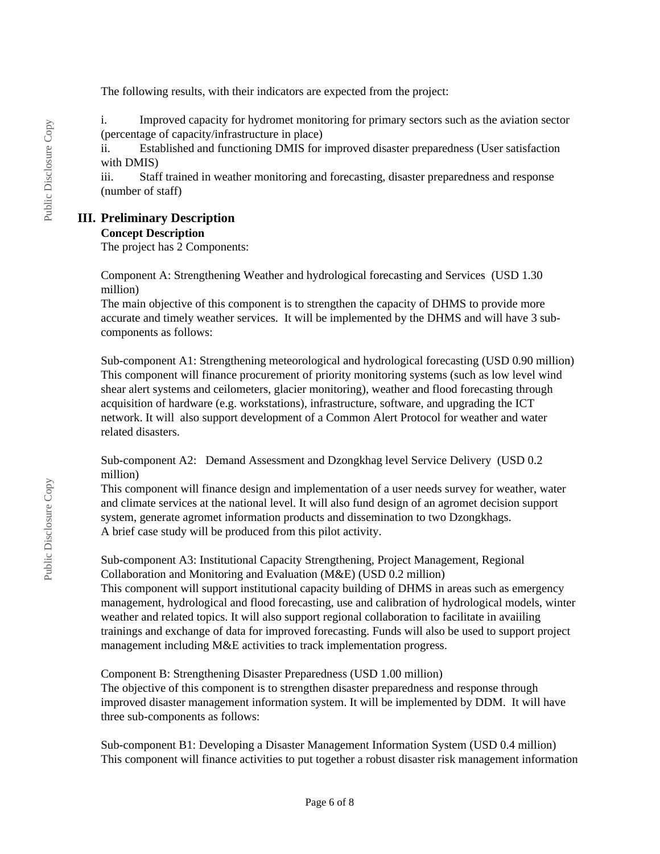The following results, with their indicators are expected from the project:

i. Improved capacity for hydromet monitoring for primary sectors such as the aviation sector (percentage of capacity/infrastructure in place)

ii. Established and functioning DMIS for improved disaster preparedness (User satisfaction with DMIS)

iii. Staff trained in weather monitoring and forecasting, disaster preparedness and response (number of staff)

# **III. Preliminary Description**

### **Concept Description**

The project has 2 Components:

Component A: Strengthening Weather and hydrological forecasting and Services (USD 1.30 million)

The main objective of this component is to strengthen the capacity of DHMS to provide more accurate and timely weather services. It will be implemented by the DHMS and will have 3 subcomponents as follows:

Sub-component A1: Strengthening meteorological and hydrological forecasting (USD 0.90 million) This component will finance procurement of priority monitoring systems (such as low level wind shear alert systems and ceilometers, glacier monitoring), weather and flood forecasting through acquisition of hardware (e.g. workstations), infrastructure, software, and upgrading the ICT network. It will also support development of a Common Alert Protocol for weather and water related disasters.

Sub-component A2: Demand Assessment and Dzongkhag level Service Delivery (USD 0.2 million)

This component will finance design and implementation of a user needs survey for weather, water and climate services at the national level. It will also fund design of an agromet decision support system, generate agromet information products and dissemination to two Dzongkhags. A brief case study will be produced from this pilot activity.

Sub-component A3: Institutional Capacity Strengthening, Project Management, Regional Collaboration and Monitoring and Evaluation (M&E) (USD 0.2 million)

This component will support institutional capacity building of DHMS in areas such as emergency management, hydrological and flood forecasting, use and calibration of hydrological models, winter weather and related topics. It will also support regional collaboration to facilitate in avaiiling trainings and exchange of data for improved forecasting. Funds will also be used to support project management including M&E activities to track implementation progress.

Component B: Strengthening Disaster Preparedness (USD 1.00 million) The objective of this component is to strengthen disaster preparedness and response through improved disaster management information system. It will be implemented by DDM. It will have three sub-components as follows:

Sub-component B1: Developing a Disaster Management Information System (USD 0.4 million) This component will finance activities to put together a robust disaster risk management information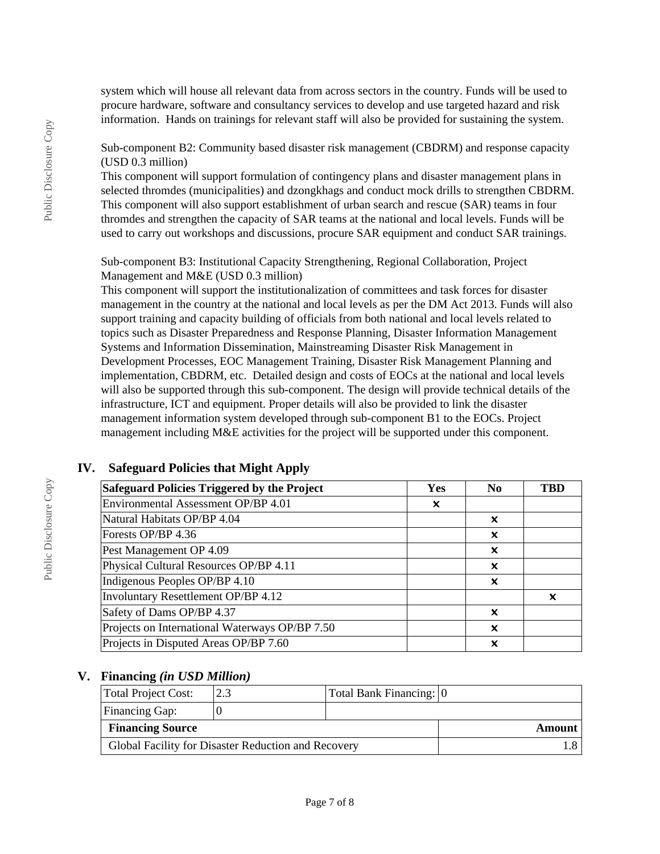system which will house all relevant data from across sectors in the country. Funds will be used to procure hardware, software and consultancy services to develop and use targeted hazard and risk information. Hands on trainings for relevant staff will also be provided for sustaining the system.

## Sub-component B2: Community based disaster risk management (CBDRM) and response capacity (USD 0.3 million)

This component will support formulation of contingency plans and disaster management plans in selected thromdes (municipalities) and dzongkhags and conduct mock drills to strengthen CBDRM. This component will also support establishment of urban search and rescue (SAR) teams in four thromdes and strengthen the capacity of SAR teams at the national and local levels. Funds will be used to carry out workshops and discussions, procure SAR equipment and conduct SAR trainings.

Sub-component B3: Institutional Capacity Strengthening, Regional Collaboration, Project Management and M&E (USD 0.3 million)

This component will support the institutionalization of committees and task forces for disaster management in the country at the national and local levels as per the DM Act 2013. Funds will also support training and capacity building of officials from both national and local levels related to topics such as Disaster Preparedness and Response Planning, Disaster Information Management Systems and Information Dissemination, Mainstreaming Disaster Risk Management in Development Processes, EOC Management Training, Disaster Risk Management Planning and implementation, CBDRM, etc. Detailed design and costs of EOCs at the national and local levels will also be supported through this sub-component. The design will provide technical details of the infrastructure, ICT and equipment. Proper details will also be provided to link the disaster management information system developed through sub-component B1 to the EOCs. Project management including M&E activities for the project will be supported under this component.

| Safeguard Policies Triggered by the Project    | Yes | N <sub>0</sub> | TBD |
|------------------------------------------------|-----|----------------|-----|
| Environmental Assessment OP/BP 4.01            | x   |                |     |
| Natural Habitats OP/BP 4.04                    |     | ×              |     |
| Forests OP/BP 4.36                             |     | ×              |     |
| Pest Management OP 4.09                        |     | ×              |     |
| Physical Cultural Resources OP/BP 4.11         |     | x              |     |
| Indigenous Peoples OP/BP 4.10                  |     | ×              |     |
| Involuntary Resettlement OP/BP 4.12            |     |                | x   |
| Safety of Dams OP/BP 4.37                      |     | ×              |     |
| Projects on International Waterways OP/BP 7.50 |     | ×              |     |
| Projects in Disputed Areas OP/BP 7.60          |     | x              |     |

# **IV. Safeguard Policies that Might Apply**

### **V. Financing** *(in USD Million)*

| Total Project Cost:                                 |  | Total Bank Financing: 0 |        |
|-----------------------------------------------------|--|-------------------------|--------|
| Financing Gap:                                      |  |                         |        |
| <b>Financing Source</b>                             |  |                         | Amount |
| Global Facility for Disaster Reduction and Recovery |  |                         |        |